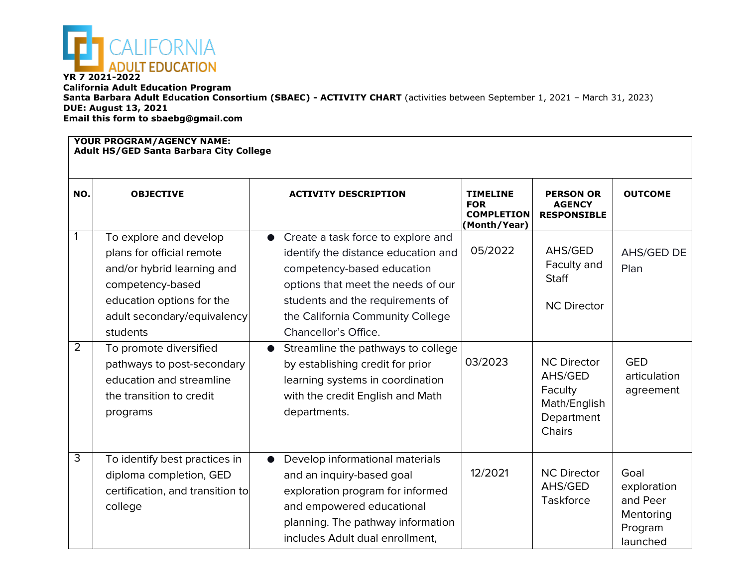

**California Adult Education Program Santa Barbara Adult Education Consortium (SBAEC) - ACTIVITY CHART** (activities between September 1, 2021 – March 31, 2023) **DUE: August 13, 2021 Email this form to sbaebg@gmail.com**

## **YOUR PROGRAM/AGENCY NAME: Adult HS/GED Santa Barbara City College**

| NO.                 | <b>OBJECTIVE</b>                                                                                                                                                                                                                                                                                          | <b>ACTIVITY DESCRIPTION</b>                                                                                                                                                                                                                                                                                                                                                                                     | <b>TIMELINE</b><br><b>FOR</b><br><b>COMPLETION</b><br>(Month/Year) | <b>PERSON OR</b><br><b>AGENCY</b><br><b>RESPONSIBLE</b>                                                                                | <b>OUTCOME</b>                                                      |  |  |  |
|---------------------|-----------------------------------------------------------------------------------------------------------------------------------------------------------------------------------------------------------------------------------------------------------------------------------------------------------|-----------------------------------------------------------------------------------------------------------------------------------------------------------------------------------------------------------------------------------------------------------------------------------------------------------------------------------------------------------------------------------------------------------------|--------------------------------------------------------------------|----------------------------------------------------------------------------------------------------------------------------------------|---------------------------------------------------------------------|--|--|--|
| 1<br>$\overline{2}$ | To explore and develop<br>plans for official remote<br>and/or hybrid learning and<br>competency-based<br>education options for the<br>adult secondary/equivalency<br>students<br>To promote diversified<br>pathways to post-secondary<br>education and streamline<br>the transition to credit<br>programs | Create a task force to explore and<br>identify the distance education and<br>competency-based education<br>options that meet the needs of our<br>students and the requirements of<br>the California Community College<br>Chancellor's Office.<br>Streamline the pathways to college<br>by establishing credit for prior<br>learning systems in coordination<br>with the credit English and Math<br>departments. | 05/2022<br>03/2023                                                 | AHS/GED<br>Faculty and<br><b>Staff</b><br><b>NC Director</b><br><b>NC Director</b><br>AHS/GED<br>Faculty<br>Math/English<br>Department | AHS/GED DE<br>Plan<br><b>GED</b><br>articulation<br>agreement       |  |  |  |
| 3                   | To identify best practices in<br>diploma completion, GED<br>certification, and transition to<br>college                                                                                                                                                                                                   | Develop informational materials<br>and an inquiry-based goal<br>exploration program for informed<br>and empowered educational<br>planning. The pathway information<br>includes Adult dual enrollment,                                                                                                                                                                                                           | 12/2021                                                            | Chairs<br><b>NC Director</b><br>AHS/GED<br>Taskforce                                                                                   | Goal<br>exploration<br>and Peer<br>Mentoring<br>Program<br>launched |  |  |  |